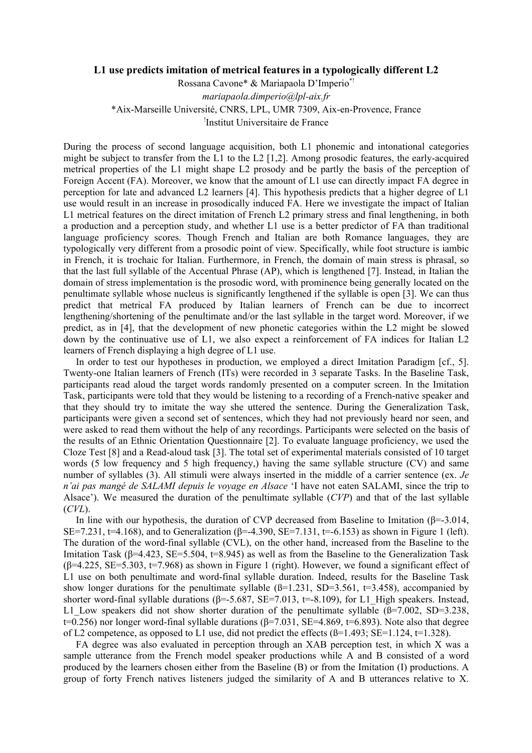## **L1 use predicts imitation of metrical features in a typologically different L2**

Rossana Cavone\* & Mariapaola D'Imperio\*!

*mariapaola.dimperio@lpl-aix.fr* \*Aix-Marseille Université, CNRS, LPL, UMR 7309, Aix-en-Provence, France ! Institut Universitaire de France

During the process of second language acquisition, both L1 phonemic and intonational categories might be subject to transfer from the L1 to the L2 [1,2]. Among prosodic features, the early-acquired metrical properties of the L1 might shape L2 prosody and be partly the basis of the perception of Foreign Accent (FA). Moreover, we know that the amount of L1 use can directly impact FA degree in perception for late and advanced L2 learners [4]. This hypothesis predicts that a higher degree of L1 use would result in an increase in prosodically induced FA. Here we investigate the impact of Italian L1 metrical features on the direct imitation of French L2 primary stress and final lengthening, in both a production and a perception study, and whether L1 use is a better predictor of FA than traditional language proficiency scores. Though French and Italian are both Romance languages, they are typologically very different from a prosodic point of view. Specifically, while foot structure is iambic in French, it is trochaic for Italian. Furthermore, in French, the domain of main stress is phrasal, so that the last full syllable of the Accentual Phrase (AP), which is lengthened [7]. Instead, in Italian the domain of stress implementation is the prosodic word, with prominence being generally located on the penultimate syllable whose nucleus is significantly lengthened if the syllable is open [3]. We can thus predict that metrical FA produced by Italian learners of French can be due to incorrect lengthening/shortening of the penultimate and/or the last syllable in the target word. Moreover, if we predict, as in [4], that the development of new phonetic categories within the L2 might be slowed down by the continuative use of L1, we also expect a reinforcement of FA indices for Italian L2 learners of French displaying a high degree of L1 use.

In order to test our hypotheses in production, we employed a direct Imitation Paradigm [cf., 5]. Twenty-one Italian learners of French (ITs) were recorded in 3 separate Tasks. In the Baseline Task, participants read aloud the target words randomly presented on a computer screen. In the Imitation Task, participants were told that they would be listening to a recording of a French-native speaker and that they should try to imitate the way she uttered the sentence. During the Generalization Task, participants were given a second set of sentences, which they had not previously heard nor seen, and were asked to read them without the help of any recordings. Participants were selected on the basis of the results of an Ethnic Orientation Questionnaire [2]. To evaluate language proficiency, we used the Cloze Test [8] and a Read-aloud task [3]. The total set of experimental materials consisted of 10 target words (5 low frequency and 5 high frequency,) having the same syllable structure (CV) and same number of syllables (3). All stimuli were always inserted in the middle of a carrier sentence (ex. *Je n'ai pas mangé de SALAMI depuis le voyage en Alsace* 'I have not eaten SALAMI, since the trip to Alsace'). We measured the duration of the penultimate syllable (*CVP*) and that of the last syllable (*CVL*).

In line with our hypothesis, the duration of CVP decreased from Baseline to Imitation ( $\beta$ =-3.014, SE=7.231, t=4.168), and to Generalization ( $\beta$ =-4.390, SE=7.131, t=-6.153) as shown in Figure 1 (left). The duration of the word-final syllable (CVL), on the other hand, increased from the Baseline to the Imitation Task  $(\beta=4.423, SE=5.504, t=8.945)$  as well as from the Baseline to the Generalization Task  $(\beta=4.225, SE=5.303, t=7.968)$  as shown in Figure 1 (right). However, we found a significant effect of L1 use on both penultimate and word-final syllable duration. Indeed, results for the Baseline Task show longer durations for the penultimate syllable  $(\beta=1.231, SD=3.561, t=3.458)$ , accompanied by shorter word-final syllable durations ( $\beta$ =-5.687, SE=7.013, t=-8.109), for L1 High speakers. Instead, L1 Low speakers did not show shorter duration of the penultimate syllable ( $\beta$ =7.002, SD=3.238,  $t=0.256$ ) nor longer word-final syllable durations ( $\beta$ =7.031, SE=4.869, t=6.893). Note also that degree of L2 competence, as opposed to L1 use, did not predict the effects  $(\beta=1.493; SE=1.124, t=1.328)$ .

FA degree was also evaluated in perception through an XAB perception test, in which X was a sample utterance from the French model speaker productions while A and B consisted of a word produced by the learners chosen either from the Baseline (B) or from the Imitation (I) productions. A group of forty French natives listeners judged the similarity of A and B utterances relative to X.